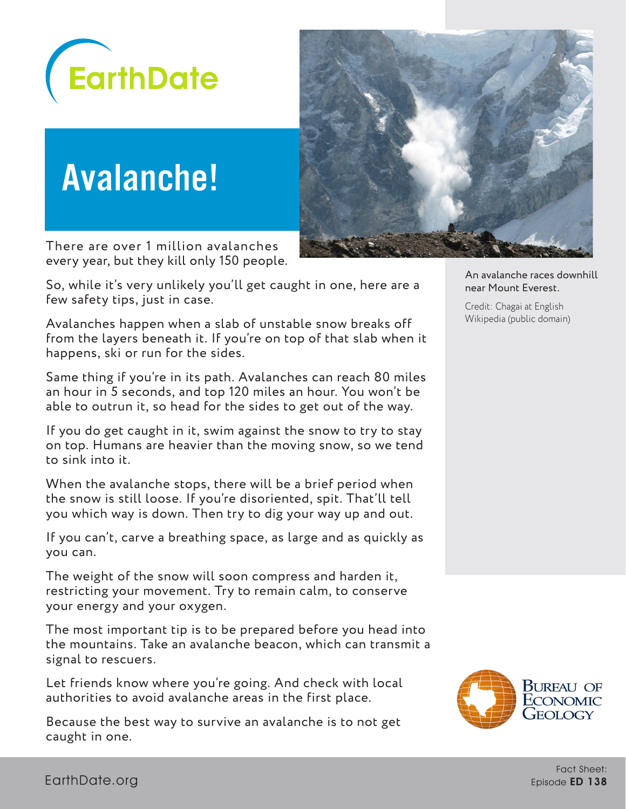

# Avalanche!

There are over 1 million avalanches every year, but they kill only 150 people.

So, while it's very unlikely you'll get caught in one, here are a few safety tips, just in case.

Avalanches happen when a slab of unstable snow breaks off from the layers beneath it. If you're on top of that slab when it happens, ski or run for the sides.

Same thing if you're in its path. Avalanches can reach 80 miles an hour in 5 seconds, and top 120 miles an hour. You won't be able to outrun it, so head for the sides to get out of the way.

If you do get caught in it, swim against the snow to try to stay on top. Humans are heavier than the moving snow, so we tend to sink into it.

When the avalanche stops, there will be a brief period when the snow is still loose. If you're disoriented, spit. That'll tell you which way is down. Then try to dig your way up and out.

If you can't, carve a breathing space, as large and as quickly as you can.

The weight of the snow will soon compress and harden it, restricting your movement. Try to remain calm, to conserve your energy and your oxygen.

The most important tip is to be prepared before you head into the mountains. Take an avalanche beacon, which can transmit a signal to rescuers.

Let friends know where you're going. And check with local authorities to avoid avalanche areas in the first place.

Because the best way to survive an avalanche is to not get caught in one.



An avalanche races downhill near Mount Everest.

Credit: Chagai at English Wikipedia (public domain)

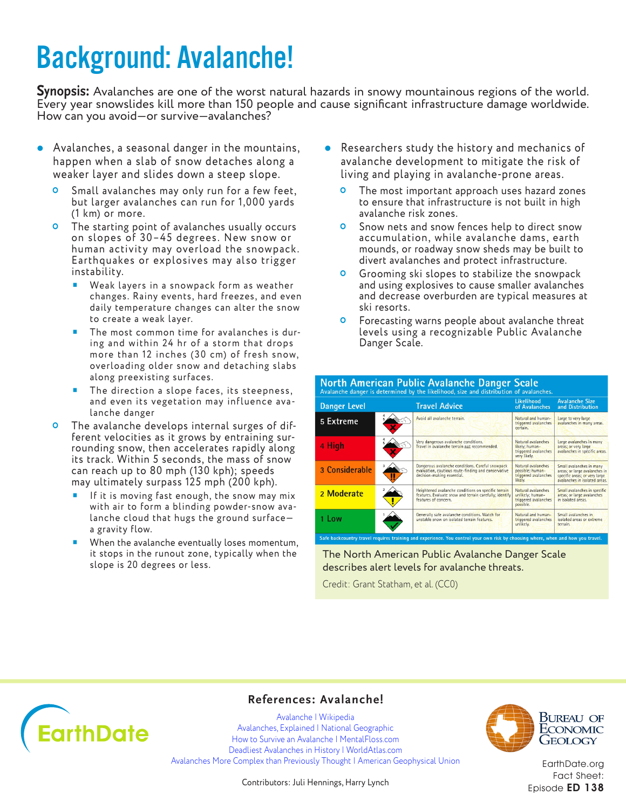### Background: Avalanche!

**Synopsis:** Avalanches are one of the worst natural hazards in snowy mountainous regions of the world. Every year snowslides kill more than 150 people and cause significant infrastructure damage worldwide. How can you avoid—or survive—avalanches?

- Avalanches, a seasonal danger in the mountains, happen when a slab of snow detaches along a weaker layer and slides down a steep slope.
	- **O** Small avalanches may only run for a few feet, but larger avalanches can run for 1,000 yards (1 km) or more.
	- **O** The starting point of avalanches usually occurs on slopes of 30–45 degrees. New snow or human activity may overload the snowpack. Earthquakes or explosives may also trigger instability.
		- Weak layers in a snowpack form as weather changes. Rainy events, hard freezes, and even daily temperature changes can alter the snow to create a weak layer.
		- **The most common time for avalanches is dur**ing and within 24 hr of a storm that drops more than 12 inches (30 cm) of fresh snow, overloading older snow and detaching slabs along preexisting surfaces.
		- The direction a slope faces, its steepness, and even its vegetation may influence avalanche danger
	- **O** The avalanche develops internal surges of different velocities as it grows by entraining surrounding snow, then accelerates rapidly along its track. Within 5 seconds, the mass of snow can reach up to 80 mph (130 kph); speeds may ultimately surpass 125 mph (200 kph).
		- If it is moving fast enough, the snow may mix with air to form a blinding powder-snow avalanche cloud that hugs the ground surface a gravity flow.
		- When the avalanche eventually loses momentum, it stops in the runout zone, typically when the slope is 20 degrees or less.
- Researchers study the history and mechanics of avalanche development to mitigate the risk of living and playing in avalanche-prone areas.
	- **O** The most important approach uses hazard zones to ensure that infrastructure is not built in high avalanche risk zones.
	- **O** Snow nets and snow fences help to direct snow accumulation, while avalanche dams, earth mounds, or roadway snow sheds may be built to divert avalanches and protect infrastructure.
	- **O** Grooming ski slopes to stabilize the snowpack and using explosives to cause smaller avalanches and decrease overburden are typical measures at ski resorts.
	- **O** Forecasting warns people about avalanche threat levels using a recognizable Public Avalanche Danger Scale.

| <b>Danger Level</b> |   | <b>Travel Advice</b>                                                                                                                   | Likelihood<br>of Avalanches                                                  | <b>Avalanche Size</b><br>and Distribution                                                                                   |
|---------------------|---|----------------------------------------------------------------------------------------------------------------------------------------|------------------------------------------------------------------------------|-----------------------------------------------------------------------------------------------------------------------------|
| 5 Extreme           |   | Avoid all avalanche terrain.                                                                                                           | Natural and human-<br>triggered avalanches<br>certain.                       | Large to very large<br>avalanches in many areas.                                                                            |
| 4 High              |   | Very dangerous avalanche conditions.<br>Travel in avalanche terrain not recommended.                                                   | Natural avalanches<br>likely: human-<br>triggered avalanches<br>very likely. | Large avalanches in many<br>areas; or very large<br>avalanches in specific areas.                                           |
| 3 Considerable      | П | Dangerous avalanche conditions. Careful snowpack<br>evaluation, cautious route-finding and conservative<br>decision-making essential.  | Natural avalanches<br>possible: human-<br>triggered avalanches<br>likely.    | Small avalanches in many<br>areas; or large avalanches in<br>specific areas; or very large<br>avalanches in isolated areas. |
| 2 Moderate          |   | Heightened avalanche conditions on specific terrain<br>features. Evaluate snow and terrain carefully; identify<br>features of concern. | Natural avalanches<br>unlikely; human-<br>triggered avalanches<br>possible.  | Small avalanches in specific<br>areas; or large avalanches<br>in isolated areas.                                            |
| 1 Low               |   | Generally safe avalanche conditions. Watch for<br>unstable snow on isolated terrain features.                                          | Natural and human-<br>triggered avalanches<br>unlikely.                      | Small avalanches in<br>isolated areas or extreme<br>terrain.                                                                |

The North American Public Avalanche Danger Scale describes alert levels for avalanche threats.

Credit: Grant Statham, et al. (CC0)



### **References: Avalanche!**

[Avalanche | Wikipedia](https://en.wikipedia.org/wiki/Avalanche) [Avalanches, Explained | National Geographic](https://www.nationalgeographic.com/environment/natural-disasters/avalanches/) [How to Survive an Avalanche | MentalFloss.com](http://mentalfloss.com/article/52844/how-survive-avalanche) [Deadliest Avalanches in History | WorldAtlas.com](https://www.worldatlas.com/articles/deadliest-avalanches-in-history.html) [Avalanches More Complex than Previously Thought | American Geophysical Union](https://blogs.agu.org/geospace/2016/11/22/avalanches-complex-previously-thought/)

Contributors: Juli Hennings, Harry Lynch



**BUREAU OF** ECONOMIC GEOLOGY

[EarthDate.org](http://www.earthdate.org) Fact Sheet: Episode ED 138